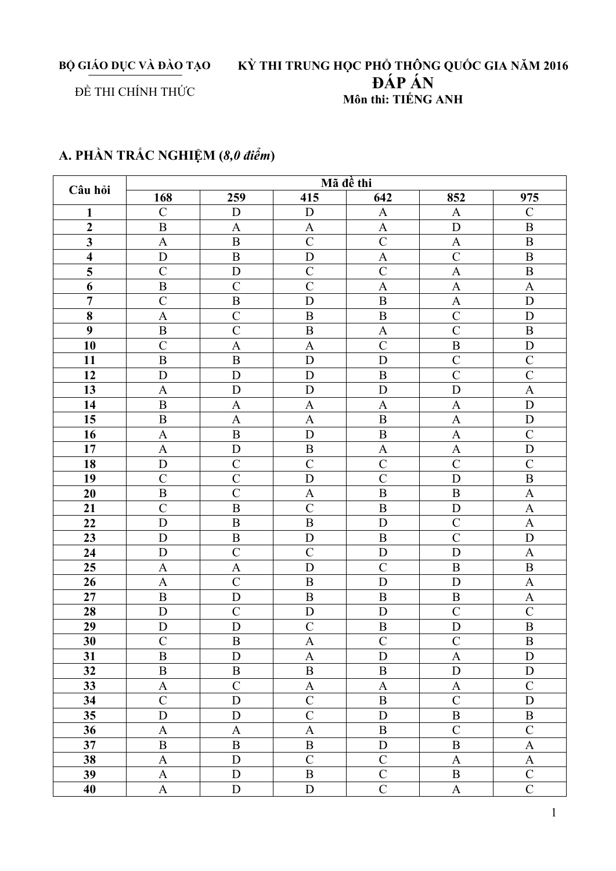BỘ GIÁO DỤC VÀ ĐÀO TẠO

# KỪ THI TRUNG HỌC PHỔ THÔNG QUỐC GIA NĂM 2016<br>ĐẤP ẤN Môn thi: TIẾNG ANH

### ĐỀ THI CHÍNH THỨC

## A. PHẦN TRẮC NGHIỆM (8,0 điểm)

| Câu hỏi                 | Mã đề thi                 |                  |                           |                |                           |                           |  |  |
|-------------------------|---------------------------|------------------|---------------------------|----------------|---------------------------|---------------------------|--|--|
|                         | 168                       | 259              | 415                       | 642            | 852                       | 975                       |  |  |
| $\mathbf{1}$            | $\overline{C}$            | $\mathbf D$      | $\mathbf D$               | $\mathbf{A}$   | $\mathbf{A}$              | $\overline{C}$            |  |  |
| $\boldsymbol{2}$        | $\, {\bf B}$              | $\mathbf{A}$     | A                         | A              | D                         | $\, {\bf B}$              |  |  |
| $\overline{\mathbf{3}}$ | $\mathbf{A}$              | $\overline{B}$   | $\overline{C}$            | $\overline{C}$ | $\boldsymbol{\mathsf{A}}$ | $\, {\bf B}$              |  |  |
| $\overline{\mathbf{4}}$ | ${\bf D}$                 | $\, {\bf B}$     | D                         | $\mathbf{A}$   | $\mathcal{C}$             | $\, {\bf B}$              |  |  |
| 5                       | $\mathcal{C}$             | D                | $\overline{C}$            | $\mathcal{C}$  | $\mathbf{A}$              | $\overline{B}$            |  |  |
| 6                       | $\, {\bf B}$              | $\mathcal{C}$    | $\mathcal{C}$             | $\mathbf{A}$   | $\boldsymbol{\mathsf{A}}$ | $\mathbf{A}$              |  |  |
| $\overline{7}$          | $\overline{C}$            | $\overline{B}$   | D                         | $\overline{B}$ | $\mathbf{A}$              | D                         |  |  |
| $\bf{8}$                | $\mathbf{A}$              | $\overline{C}$   | $\overline{B}$            | $\overline{B}$ | $\mathcal{C}$             | D                         |  |  |
| 9                       | $\, {\bf B}$              | $\overline{C}$   | $\overline{B}$            | $\overline{A}$ | $\overline{C}$            | $\overline{B}$            |  |  |
| 10                      | $\overline{C}$            | $\overline{A}$   | $\mathbf{A}$              | $\mathcal{C}$  | $\, {\bf B}$              | D                         |  |  |
| 11                      | $\overline{B}$            | $\, {\bf B}$     | ${\bf D}$                 | $\overline{D}$ | $\mathcal{C}$             | $\mathcal{C}$             |  |  |
| 12                      | $\mathbf D$               | D                | D                         | $\overline{B}$ | $\overline{C}$            | $\overline{C}$            |  |  |
| 13                      | $\overline{A}$            | D                | D                         | D              | D                         | $\overline{A}$            |  |  |
| 14                      | $\overline{B}$            | $\overline{A}$   | $\mathbf{A}$              | $\mathbf{A}$   | $\mathbf{A}$              | D                         |  |  |
| 15                      | $\, {\bf B}$              | $\mathbf{A}$     | $\mathbf{A}$              | $\, {\bf B}$   | $\mathbf{A}$              | D                         |  |  |
| 16                      | $\boldsymbol{\mathsf{A}}$ | $\, {\bf B}$     | D                         | $\, {\bf B}$   | $\mathbf{A}$              | $\overline{C}$            |  |  |
| 17                      | $\boldsymbol{\mathsf{A}}$ | $\mathbf D$      | $\, {\bf B}$              | A              | $\mathbf{A}$              | ${\bf D}$                 |  |  |
| 18                      | D                         | $\overline{C}$   | $\overline{C}$            | $\overline{C}$ | $\overline{C}$            | $\overline{C}$            |  |  |
| 19                      | $\overline{C}$            | $\overline{C}$   | D                         | $\overline{C}$ | D                         | $\overline{B}$            |  |  |
| 20                      | $\, {\bf B}$              | $\overline{C}$   | $\mathbf{A}$              | $\overline{B}$ | $\boldsymbol{B}$          | $\boldsymbol{\mathsf{A}}$ |  |  |
| 21                      | $\mathcal{C}$             | $\mathbf B$      | $\overline{C}$            | $\overline{B}$ | D                         | $\boldsymbol{\mathsf{A}}$ |  |  |
| 22                      | D                         | $\boldsymbol{B}$ | $\overline{B}$            | D              | $\mathcal{C}$             | $\mathbf{A}$              |  |  |
| 23                      | D                         | $\boldsymbol{B}$ | D                         | $\mathbf B$    | $\mathcal{C}$             | D                         |  |  |
| 24                      | $\mathbf D$               | $\overline{C}$   | $\overline{C}$            | D              | D                         | $\boldsymbol{\rm{A}}$     |  |  |
| 25                      | $\mathbf{A}$              | $\mathbf{A}$     | D                         | $\overline{C}$ | $\, {\bf B}$              | $\, {\bf B}$              |  |  |
| 26                      | $\mathbf{A}$              | $\overline{C}$   | $\, {\bf B}$              | D              | D                         | $\mathbf{A}$              |  |  |
| 27                      | $\, {\bf B}$              | D                | $\, {\bf B}$              | $\, {\bf B}$   | $\, {\bf B}$              | $\boldsymbol{\mathsf{A}}$ |  |  |
| 28                      | D                         | $\overline{C}$   | $\mathbf D$               | D              | $\mathcal{C}$             | $\overline{C}$            |  |  |
| 29                      | $\overline{D}$            | D                | $\overline{C}$            | $\overline{B}$ | $\overline{D}$            | $\overline{B}$            |  |  |
| $\overline{30}$         | $\overline{C}$            | $\overline{B}$   | A                         | $\overline{C}$ | $\overline{C}$            | $\overline{\mathbf{B}}$   |  |  |
| 31                      | $\, {\bf B}$              | D                | $\mathbf{A}$              | D              | $\boldsymbol{\mathrm{A}}$ | D                         |  |  |
| 32                      | $\, {\bf B}$              | $\, {\bf B}$     | $\, {\bf B}$              | $\, {\bf B}$   | $\mathbf D$               | ${\bf D}$                 |  |  |
| 33                      | $\boldsymbol{\mathsf{A}}$ | $\mathcal{C}$    | $\boldsymbol{\rm{A}}$     | $\mathbf{A}$   | $\mathbf{A}$              | $\mathcal{C}$             |  |  |
| 34                      | $\mathcal{C}$             | $\mathbf D$      | $\mathcal{C}$             | $\, {\bf B}$   | $\mathcal{C}$             | $\mathbf D$               |  |  |
| 35                      | ${\bf D}$                 | $\mathbf D$      | $\overline{C}$            | $\mathbf{D}$   | $\, {\bf B}$              | $\, {\bf B}$              |  |  |
| 36                      | $\mathbf{A}$              | $\mathbf{A}$     | $\boldsymbol{\mathsf{A}}$ | $\, {\bf B}$   | $\mathcal{C}$             | $\mathcal{C}$             |  |  |
| 37                      | $\, {\bf B}$              | $\, {\bf B}$     | $\, {\bf B}$              | ${\bf D}$      | $\, {\bf B}$              | $\mathbf A$               |  |  |
| 38                      | $\boldsymbol{\mathsf{A}}$ | $\mathbf D$      | $\mathcal{C}$             | $\mathcal{C}$  | $\mathbf{A}$              | $\mathbf{A}$              |  |  |
| 39                      | $\boldsymbol{\mathsf{A}}$ | $\mathbf D$      | $\bf{B}$                  | $\overline{C}$ | $\, {\bf B}$              | $\mathcal{C}$             |  |  |
| 40                      | $\mathbf{A}$              | ${\bf D}$        | ${\bf D}$                 | $\overline{C}$ | $\mathbf{A}$              | $\overline{C}$            |  |  |